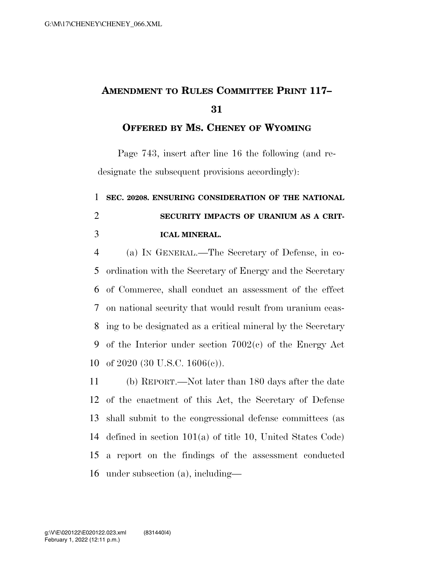## **AMENDMENT TO RULES COMMITTEE PRINT 117–**

**OFFERED BY MS. CHENEY OF WYOMING**

Page 743, insert after line 16 the following (and redesignate the subsequent provisions accordingly):

## **SEC. 20208. ENSURING CONSIDERATION OF THE NATIONAL SECURITY IMPACTS OF URANIUM AS A CRIT-ICAL MINERAL.**

 (a) IN GENERAL.—The Secretary of Defense, in co- ordination with the Secretary of Energy and the Secretary of Commerce, shall conduct an assessment of the effect on national security that would result from uranium ceas- ing to be designated as a critical mineral by the Secretary of the Interior under section 7002(c) of the Energy Act of 2020 (30 U.S.C. 1606(c)).

 (b) REPORT.—Not later than 180 days after the date of the enactment of this Act, the Secretary of Defense shall submit to the congressional defense committees (as defined in section 101(a) of title 10, United States Code) a report on the findings of the assessment conducted under subsection (a), including